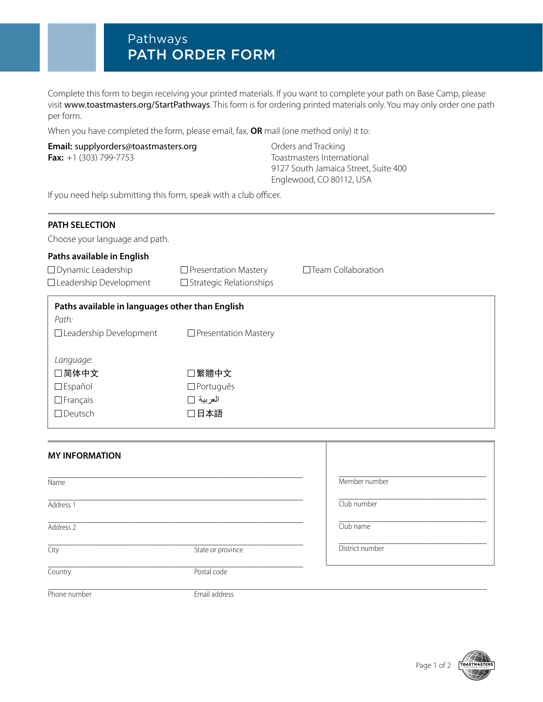## Pathways PATH ORDER FORM

Complete this form to begin receiving your printed materials. If you want to complete your path on Base Camp, please visit [www.toastmasters.org/StartPathways](http://www.toastmasters.org/StartPathways). This form is for ordering printed materials only. You may only order one path per form.

When you have completed the form, please email, fax, **OR** mail (one method only) it to:

## **Email:** [supplyorders@toastmasters.org](mailto:supplyorders@toastmasters.org) **Email:** Orders and Tracking **Fax:** +1 (303) 799-7753 Toastmasters International

9127 South Jamaica Street, Suite 400 Englewood, CO 80112, USA

If you need help submitting this form, speak with a club officer.

| <b>PATH SELECTION</b><br>Choose your language and path.                                                               |                                                               |                           |
|-----------------------------------------------------------------------------------------------------------------------|---------------------------------------------------------------|---------------------------|
| Paths available in English<br>$\Box$ Dynamic Leadership                                                               | $\Box$ Presentation Mastery                                   | $\Box$ Team Collaboration |
| □ Leadership Development<br>Paths available in languages other than English<br>Path:<br>$\Box$ Leadership Development | $\Box$ Strategic Relationships<br>$\Box$ Presentation Mastery |                           |
| Language:<br>□简体中文<br>$\square$ Español<br>$\Box$ Français<br>$\Box$ Deutsch                                          | □繁體中文<br>$\Box$ Português<br>العربية □<br>日本語                 |                           |

| <b>MY INFORMATION</b> |                   |                 |
|-----------------------|-------------------|-----------------|
| Name                  |                   | Member number   |
| Address 1             |                   | Club number     |
| Address 2             |                   | Club name       |
| City                  | State or province | District number |
| Country               | Postal code       |                 |
| Phone number          | Email address     |                 |